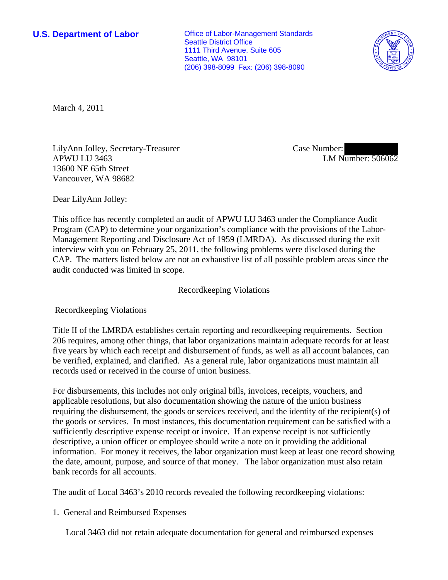**U.S. Department of Labor Conservative Conservative Conservative Conservative Conservative Conservative Conservative Conservative Conservative Conservative Conservative Conservative Conservative Conservative Conservative** Seattle District Office 1111 Third Avenue, Suite 605 Seattle, WA 98101 (206) 398-8099 Fax: (206) 398-8090



March 4, 2011

LilyAnn Jolley, Secretary-Treasurer APWU LU 3463 13600 NE 65th Street Vancouver, WA 98682

Case Number: LM Number: 506062

Dear LilyAnn Jolley:

This office has recently completed an audit of APWU LU 3463 under the Compliance Audit Program (CAP) to determine your organization's compliance with the provisions of the Labor-Management Reporting and Disclosure Act of 1959 (LMRDA). As discussed during the exit interview with you on February 25, 2011, the following problems were disclosed during the CAP. The matters listed below are not an exhaustive list of all possible problem areas since the audit conducted was limited in scope.

## Recordkeeping Violations

Recordkeeping Violations

Title II of the LMRDA establishes certain reporting and recordkeeping requirements. Section 206 requires, among other things, that labor organizations maintain adequate records for at least five years by which each receipt and disbursement of funds, as well as all account balances, can be verified, explained, and clarified. As a general rule, labor organizations must maintain all records used or received in the course of union business.

For disbursements, this includes not only original bills, invoices, receipts, vouchers, and applicable resolutions, but also documentation showing the nature of the union business requiring the disbursement, the goods or services received, and the identity of the recipient(s) of the goods or services. In most instances, this documentation requirement can be satisfied with a sufficiently descriptive expense receipt or invoice. If an expense receipt is not sufficiently descriptive, a union officer or employee should write a note on it providing the additional information. For money it receives, the labor organization must keep at least one record showing the date, amount, purpose, and source of that money. The labor organization must also retain bank records for all accounts.

The audit of Local 3463's 2010 records revealed the following recordkeeping violations:

## 1. General and Reimbursed Expenses

Local 3463 did not retain adequate documentation for general and reimbursed expenses